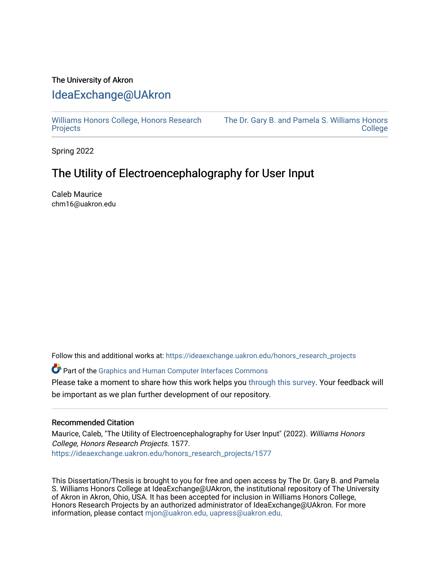## The University of Akron [IdeaExchange@UAkron](https://ideaexchange.uakron.edu/)

[Williams Honors College, Honors Research](https://ideaexchange.uakron.edu/honors_research_projects)  **[Projects](https://ideaexchange.uakron.edu/honors_research_projects)** 

[The Dr. Gary B. and Pamela S. Williams Honors](https://ideaexchange.uakron.edu/honorscollege_ideas)  [College](https://ideaexchange.uakron.edu/honorscollege_ideas) 

Spring 2022

## The Utility of Electroencephalography for User Input

Caleb Maurice chm16@uakron.edu

Follow this and additional works at: [https://ideaexchange.uakron.edu/honors\\_research\\_projects](https://ideaexchange.uakron.edu/honors_research_projects?utm_source=ideaexchange.uakron.edu%2Fhonors_research_projects%2F1577&utm_medium=PDF&utm_campaign=PDFCoverPages) 

Part of the [Graphics and Human Computer Interfaces Commons](http://network.bepress.com/hgg/discipline/146?utm_source=ideaexchange.uakron.edu%2Fhonors_research_projects%2F1577&utm_medium=PDF&utm_campaign=PDFCoverPages) 

Please take a moment to share how this work helps you [through this survey](http://survey.az1.qualtrics.com/SE/?SID=SV_eEVH54oiCbOw05f&URL=https://ideaexchange.uakron.edu/honors_research_projects/1577). Your feedback will be important as we plan further development of our repository.

## Recommended Citation

Maurice, Caleb, "The Utility of Electroencephalography for User Input" (2022). Williams Honors College, Honors Research Projects. 1577. [https://ideaexchange.uakron.edu/honors\\_research\\_projects/1577](https://ideaexchange.uakron.edu/honors_research_projects/1577?utm_source=ideaexchange.uakron.edu%2Fhonors_research_projects%2F1577&utm_medium=PDF&utm_campaign=PDFCoverPages) 

This Dissertation/Thesis is brought to you for free and open access by The Dr. Gary B. and Pamela S. Williams Honors College at IdeaExchange@UAkron, the institutional repository of The University of Akron in Akron, Ohio, USA. It has been accepted for inclusion in Williams Honors College, Honors Research Projects by an authorized administrator of IdeaExchange@UAkron. For more information, please contact [mjon@uakron.edu, uapress@uakron.edu.](mailto:mjon@uakron.edu,%20uapress@uakron.edu)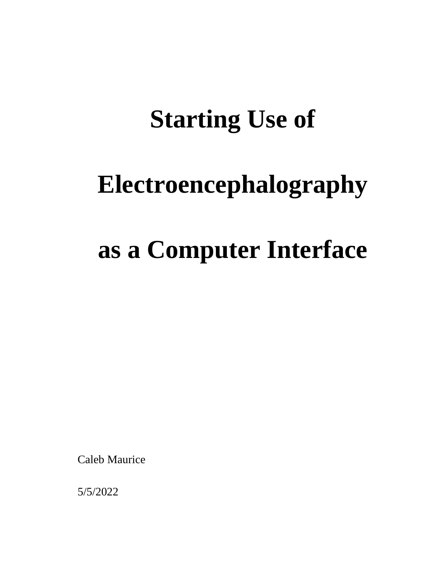# **Starting Use of**

## **Electroencephalography**

# **as a Computer Interface**

Caleb Maurice

5/5/2022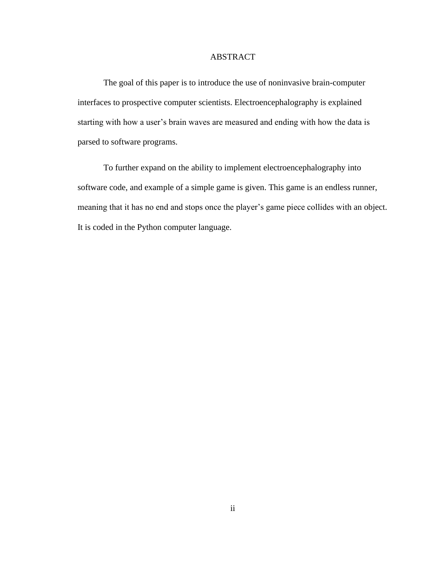## ABSTRACT

The goal of this paper is to introduce the use of noninvasive brain-computer interfaces to prospective computer scientists. Electroencephalography is explained starting with how a user's brain waves are measured and ending with how the data is parsed to software programs.

To further expand on the ability to implement electroencephalography into software code, and example of a simple game is given. This game is an endless runner, meaning that it has no end and stops once the player's game piece collides with an object. It is coded in the Python computer language.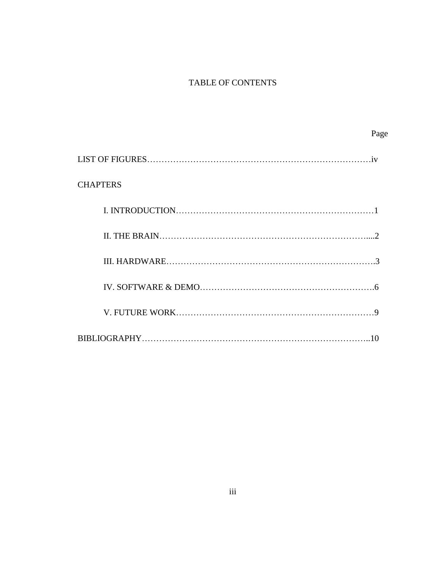## TABLE OF CONTENTS

Page

| <b>CHAPTERS</b> |  |  |
|-----------------|--|--|
|                 |  |  |
|                 |  |  |
|                 |  |  |
|                 |  |  |
|                 |  |  |
|                 |  |  |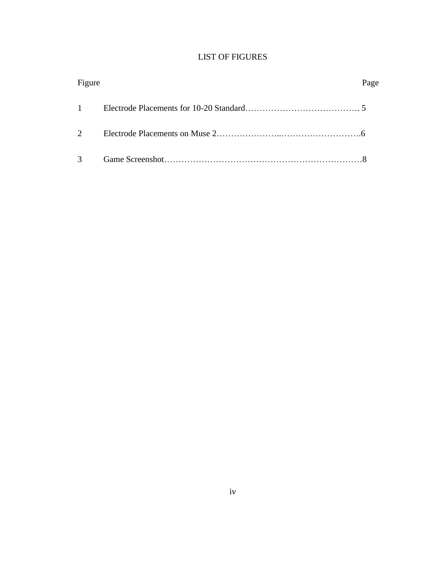## LIST OF FIGURES

| Figure         | Page |
|----------------|------|
|                |      |
| $\overline{2}$ |      |
| $3^{\circ}$    |      |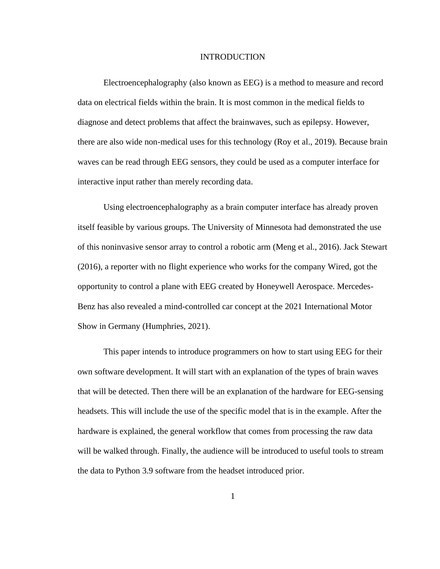### INTRODUCTION

Electroencephalography (also known as EEG) is a method to measure and record data on electrical fields within the brain. It is most common in the medical fields to diagnose and detect problems that affect the brainwaves, such as epilepsy. However, there are also wide non-medical uses for this technology (Roy et al., 2019). Because brain waves can be read through EEG sensors, they could be used as a computer interface for interactive input rather than merely recording data.

Using electroencephalography as a brain computer interface has already proven itself feasible by various groups. The University of Minnesota had demonstrated the use of this noninvasive sensor array to control a robotic arm (Meng et al., 2016). Jack Stewart (2016), a reporter with no flight experience who works for the company Wired, got the opportunity to control a plane with EEG created by Honeywell Aerospace. Mercedes-Benz has also revealed a mind-controlled car concept at the 2021 International Motor Show in Germany (Humphries, 2021).

This paper intends to introduce programmers on how to start using EEG for their own software development. It will start with an explanation of the types of brain waves that will be detected. Then there will be an explanation of the hardware for EEG-sensing headsets. This will include the use of the specific model that is in the example. After the hardware is explained, the general workflow that comes from processing the raw data will be walked through. Finally, the audience will be introduced to useful tools to stream the data to Python 3.9 software from the headset introduced prior.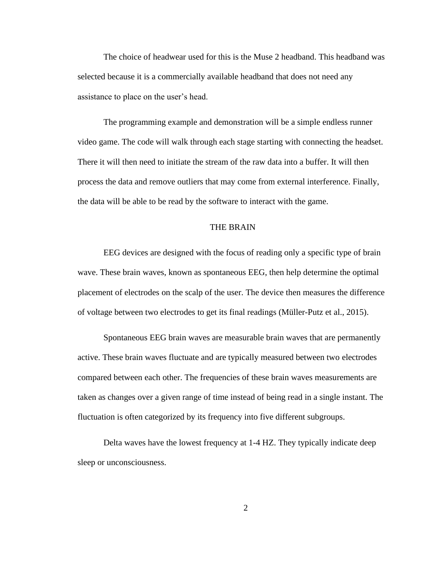The choice of headwear used for this is the Muse 2 headband. This headband was selected because it is a commercially available headband that does not need any assistance to place on the user's head.

The programming example and demonstration will be a simple endless runner video game. The code will walk through each stage starting with connecting the headset. There it will then need to initiate the stream of the raw data into a buffer. It will then process the data and remove outliers that may come from external interference. Finally, the data will be able to be read by the software to interact with the game.

## THE BRAIN

EEG devices are designed with the focus of reading only a specific type of brain wave. These brain waves, known as spontaneous EEG, then help determine the optimal placement of electrodes on the scalp of the user. The device then measures the difference of voltage between two electrodes to get its final readings (Müller-Putz et al., 2015).

Spontaneous EEG brain waves are measurable brain waves that are permanently active. These brain waves fluctuate and are typically measured between two electrodes compared between each other. The frequencies of these brain waves measurements are taken as changes over a given range of time instead of being read in a single instant. The fluctuation is often categorized by its frequency into five different subgroups.

Delta waves have the lowest frequency at 1-4 HZ. They typically indicate deep sleep or unconsciousness.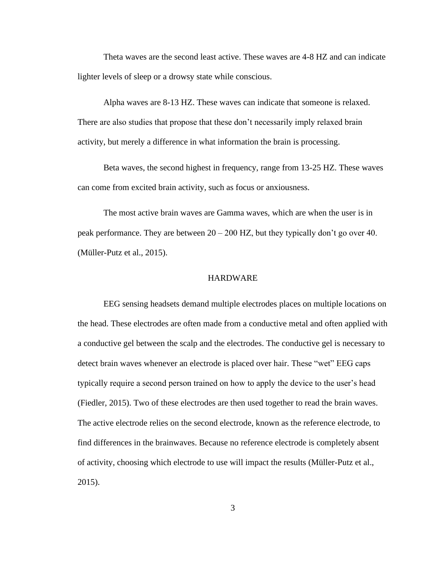Theta waves are the second least active. These waves are 4-8 HZ and can indicate lighter levels of sleep or a drowsy state while conscious.

Alpha waves are 8-13 HZ. These waves can indicate that someone is relaxed. There are also studies that propose that these don't necessarily imply relaxed brain activity, but merely a difference in what information the brain is processing.

Beta waves, the second highest in frequency, range from 13-25 HZ. These waves can come from excited brain activity, such as focus or anxiousness.

The most active brain waves are Gamma waves, which are when the user is in peak performance. They are between 20 – 200 HZ, but they typically don't go over 40. (Müller-Putz et al., 2015).

## **HARDWARE**

EEG sensing headsets demand multiple electrodes places on multiple locations on the head. These electrodes are often made from a conductive metal and often applied with a conductive gel between the scalp and the electrodes. The conductive gel is necessary to detect brain waves whenever an electrode is placed over hair. These "wet" EEG caps typically require a second person trained on how to apply the device to the user's head (Fiedler, 2015). Two of these electrodes are then used together to read the brain waves. The active electrode relies on the second electrode, known as the reference electrode, to find differences in the brainwaves. Because no reference electrode is completely absent of activity, choosing which electrode to use will impact the results (Müller-Putz et al., 2015).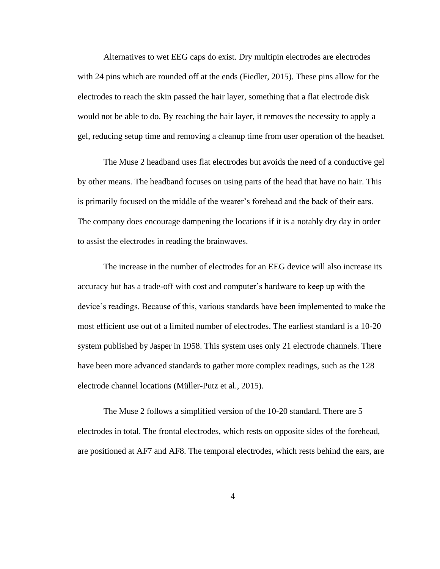Alternatives to wet EEG caps do exist. Dry multipin electrodes are electrodes with 24 pins which are rounded off at the ends (Fiedler, 2015). These pins allow for the electrodes to reach the skin passed the hair layer, something that a flat electrode disk would not be able to do. By reaching the hair layer, it removes the necessity to apply a gel, reducing setup time and removing a cleanup time from user operation of the headset.

The Muse 2 headband uses flat electrodes but avoids the need of a conductive gel by other means. The headband focuses on using parts of the head that have no hair. This is primarily focused on the middle of the wearer's forehead and the back of their ears. The company does encourage dampening the locations if it is a notably dry day in order to assist the electrodes in reading the brainwaves.

The increase in the number of electrodes for an EEG device will also increase its accuracy but has a trade-off with cost and computer's hardware to keep up with the device's readings. Because of this, various standards have been implemented to make the most efficient use out of a limited number of electrodes. The earliest standard is a 10-20 system published by Jasper in 1958. This system uses only 21 electrode channels. There have been more advanced standards to gather more complex readings, such as the 128 electrode channel locations (Müller-Putz et al., 2015).

The Muse 2 follows a simplified version of the 10-20 standard. There are 5 electrodes in total. The frontal electrodes, which rests on opposite sides of the forehead, are positioned at AF7 and AF8. The temporal electrodes, which rests behind the ears, are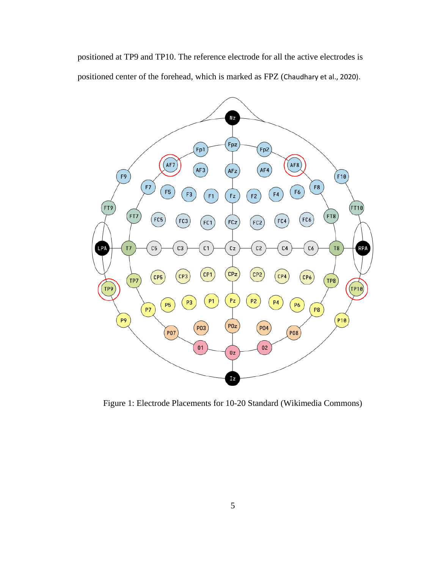positioned at TP9 and TP10. The reference electrode for all the active electrodes is positioned center of the forehead, which is marked as FPZ (Chaudhary et al., 2020).



Figure 1: Electrode Placements for 10-20 Standard (Wikimedia Commons)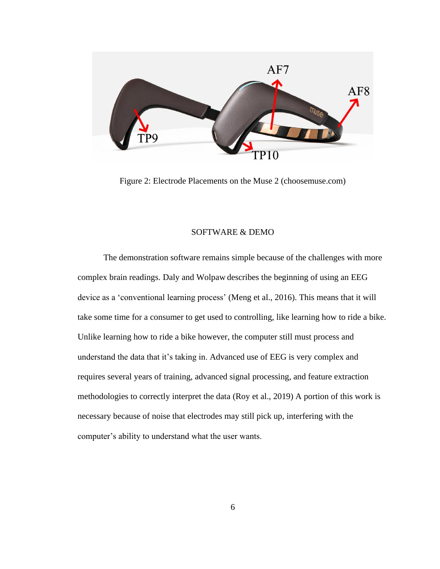

Figure 2: Electrode Placements on the Muse 2 (choosemuse.com)

### SOFTWARE & DEMO

The demonstration software remains simple because of the challenges with more complex brain readings. Daly and Wolpaw describes the beginning of using an EEG device as a 'conventional learning process' (Meng et al., 2016). This means that it will take some time for a consumer to get used to controlling, like learning how to ride a bike. Unlike learning how to ride a bike however, the computer still must process and understand the data that it's taking in. Advanced use of EEG is very complex and requires several years of training, advanced signal processing, and feature extraction methodologies to correctly interpret the data (Roy et al., 2019) A portion of this work is necessary because of noise that electrodes may still pick up, interfering with the computer's ability to understand what the user wants.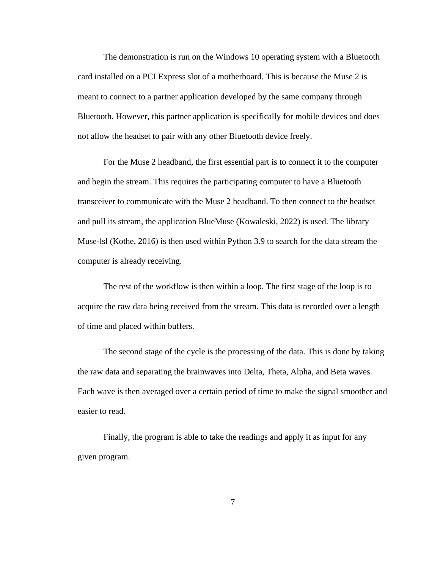The demonstration is run on the Windows 10 operating system with a Bluetooth card installed on a PCI Express slot of a motherboard. This is because the Muse 2 is meant to connect to a partner application developed by the same company through Bluetooth. However, this partner application is specifically for mobile devices and does not allow the headset to pair with any other Bluetooth device freely.

For the Muse 2 headband, the first essential part is to connect it to the computer and begin the stream. This requires the participating computer to have a Bluetooth transceiver to communicate with the Muse 2 headband. To then connect to the headset and pull its stream, the application BlueMuse (Kowaleski, 2022) is used. The library Muse-lsl (Kothe, 2016) is then used within Python 3.9 to search for the data stream the computer is already receiving.

The rest of the workflow is then within a loop. The first stage of the loop is to acquire the raw data being received from the stream. This data is recorded over a length of time and placed within buffers.

The second stage of the cycle is the processing of the data. This is done by taking the raw data and separating the brainwaves into Delta, Theta, Alpha, and Beta waves. Each wave is then averaged over a certain period of time to make the signal smoother and easier to read.

Finally, the program is able to take the readings and apply it as input for any given program.

7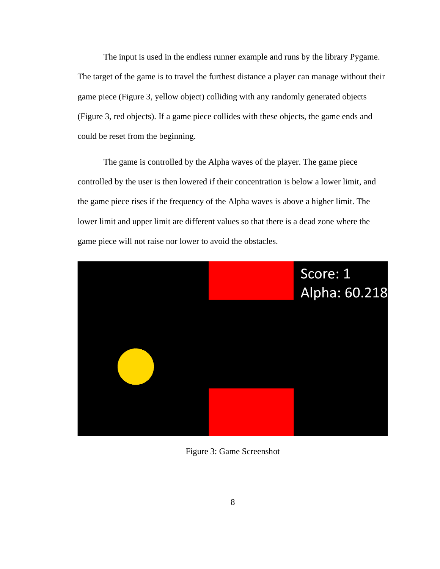The input is used in the endless runner example and runs by the library Pygame. The target of the game is to travel the furthest distance a player can manage without their game piece (Figure 3, yellow object) colliding with any randomly generated objects (Figure 3, red objects). If a game piece collides with these objects, the game ends and could be reset from the beginning.

The game is controlled by the Alpha waves of the player. The game piece controlled by the user is then lowered if their concentration is below a lower limit, and the game piece rises if the frequency of the Alpha waves is above a higher limit. The lower limit and upper limit are different values so that there is a dead zone where the game piece will not raise nor lower to avoid the obstacles.



Figure 3: Game Screenshot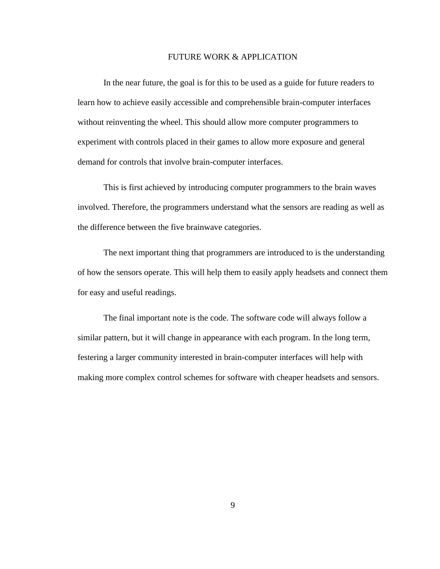### FUTURE WORK & APPLICATION

In the near future, the goal is for this to be used as a guide for future readers to learn how to achieve easily accessible and comprehensible brain-computer interfaces without reinventing the wheel. This should allow more computer programmers to experiment with controls placed in their games to allow more exposure and general demand for controls that involve brain-computer interfaces.

This is first achieved by introducing computer programmers to the brain waves involved. Therefore, the programmers understand what the sensors are reading as well as the difference between the five brainwave categories.

The next important thing that programmers are introduced to is the understanding of how the sensors operate. This will help them to easily apply headsets and connect them for easy and useful readings.

The final important note is the code. The software code will always follow a similar pattern, but it will change in appearance with each program. In the long term, festering a larger community interested in brain-computer interfaces will help with making more complex control schemes for software with cheaper headsets and sensors.

9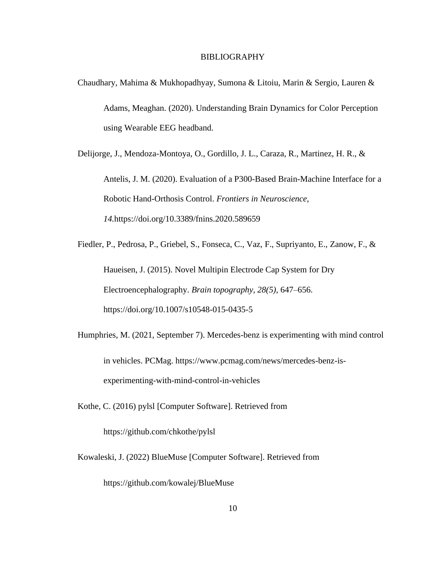### BIBLIOGRAPHY

Chaudhary, Mahima & Mukhopadhyay, Sumona & Litoiu, Marin & Sergio, Lauren & Adams, Meaghan. (2020). Understanding Brain Dynamics for Color Perception using Wearable EEG headband.

Delijorge, J., Mendoza-Montoya, O., Gordillo, J. L., Caraza, R., Martinez, H. R., &

Antelis, J. M. (2020). Evaluation of a P300-Based Brain-Machine Interface for a Robotic Hand-Orthosis Control. *Frontiers in Neuroscience, 14.*https://doi.org/10.3389/fnins.2020.589659

Fiedler, P., Pedrosa, P., Griebel, S., Fonseca, C., Vaz, F., Supriyanto, E., Zanow, F., & Haueisen, J. (2015). Novel Multipin Electrode Cap System for Dry Electroencephalography. *Brain topography, 28(5),* 647–656. https://doi.org/10.1007/s10548-015-0435-5

Humphries, M. (2021, September 7). Mercedes-benz is experimenting with mind control in vehicles. PCMag. https://www.pcmag.com/news/mercedes-benz-isexperimenting-with-mind-control-in-vehicles

Kothe, C. (2016) pylsl [Computer Software]. Retrieved from

https://github.com/chkothe/pylsl

Kowaleski, J. (2022) BlueMuse [Computer Software]. Retrieved from

https://github.com/kowalej/BlueMuse